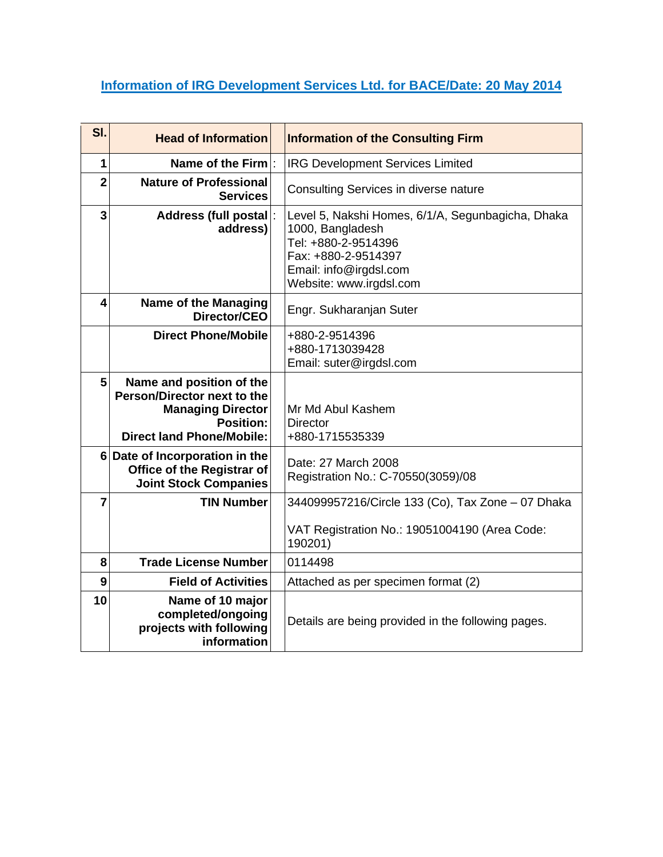# **Information of IRG Development Services Ltd. for BACE/Date: 20 May 2014**

| SI.                     | <b>Head of Information</b>                                                                                                           | <b>Information of the Consulting Firm</b>                                                                                                                                |
|-------------------------|--------------------------------------------------------------------------------------------------------------------------------------|--------------------------------------------------------------------------------------------------------------------------------------------------------------------------|
| 1                       | Name of the $Firm$ :                                                                                                                 | <b>IRG Development Services Limited</b>                                                                                                                                  |
| $\overline{2}$          | <b>Nature of Professional</b><br><b>Services</b>                                                                                     | Consulting Services in diverse nature                                                                                                                                    |
| 3                       | <b>Address (full postal</b><br>address)                                                                                              | Level 5, Nakshi Homes, 6/1/A, Segunbagicha, Dhaka<br>1000, Bangladesh<br>Tel: +880-2-9514396<br>Fax: +880-2-9514397<br>Email: info@irgdsl.com<br>Website: www.irgdsl.com |
| $\overline{\mathbf{4}}$ | <b>Name of the Managing</b><br>Director/CEO                                                                                          | Engr. Sukharanjan Suter                                                                                                                                                  |
|                         | <b>Direct Phone/Mobile</b>                                                                                                           | +880-2-9514396<br>+880-1713039428<br>Email: suter@irgdsl.com                                                                                                             |
| 5                       | Name and position of the<br>Person/Director next to the<br><b>Managing Director</b><br>Position:<br><b>Direct land Phone/Mobile:</b> | Mr Md Abul Kashem<br><b>Director</b><br>+880-1715535339                                                                                                                  |
|                         | 6 Date of Incorporation in the<br>Office of the Registrar of<br><b>Joint Stock Companies</b>                                         | Date: 27 March 2008<br>Registration No.: C-70550(3059)/08                                                                                                                |
| $\overline{7}$          | <b>TIN Number</b>                                                                                                                    | 344099957216/Circle 133 (Co), Tax Zone - 07 Dhaka<br>VAT Registration No.: 19051004190 (Area Code:<br>190201)                                                            |
| 8                       | <b>Trade License Number</b>                                                                                                          | 0114498                                                                                                                                                                  |
| 9                       | <b>Field of Activities</b>                                                                                                           | Attached as per specimen format (2)                                                                                                                                      |
| 10                      | Name of 10 major<br>completed/ongoing<br>projects with following<br>information                                                      | Details are being provided in the following pages.                                                                                                                       |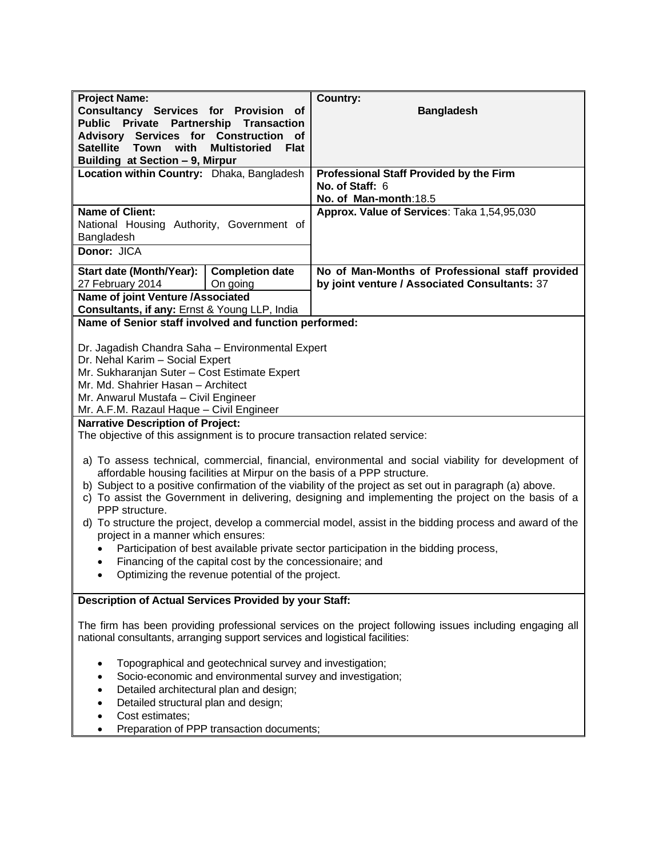| <b>Project Name:</b>                                                                                     |                                                                                                              | <b>Country:</b>                                                                                          |  |
|----------------------------------------------------------------------------------------------------------|--------------------------------------------------------------------------------------------------------------|----------------------------------------------------------------------------------------------------------|--|
| Consultancy Services for Provision of                                                                    |                                                                                                              | <b>Bangladesh</b>                                                                                        |  |
| Public Private Partnership Transaction<br>Advisory Services for Construction of                          |                                                                                                              |                                                                                                          |  |
| Satellite Town<br>with<br><b>Multistoried</b><br><b>Flat</b>                                             |                                                                                                              |                                                                                                          |  |
| Building at Section - 9, Mirpur                                                                          |                                                                                                              |                                                                                                          |  |
| Location within Country: Dhaka, Bangladesh                                                               |                                                                                                              | <b>Professional Staff Provided by the Firm</b><br>No. of Staff: 6                                        |  |
|                                                                                                          |                                                                                                              | No. of Man-month:18.5                                                                                    |  |
| <b>Name of Client:</b>                                                                                   |                                                                                                              | Approx. Value of Services: Taka 1,54,95,030                                                              |  |
| National Housing Authority, Government of                                                                |                                                                                                              |                                                                                                          |  |
| Bangladesh                                                                                               |                                                                                                              |                                                                                                          |  |
| Donor: JICA                                                                                              |                                                                                                              |                                                                                                          |  |
| Start date (Month/Year):                                                                                 | <b>Completion date</b>                                                                                       | No of Man-Months of Professional staff provided                                                          |  |
| 27 February 2014<br>Name of joint Venture /Associated                                                    | On going                                                                                                     | by joint venture / Associated Consultants: 37                                                            |  |
| Consultants, if any: Ernst & Young LLP, India                                                            |                                                                                                              |                                                                                                          |  |
| Name of Senior staff involved and function performed:                                                    |                                                                                                              |                                                                                                          |  |
|                                                                                                          |                                                                                                              |                                                                                                          |  |
| Dr. Jagadish Chandra Saha - Environmental Expert<br>Dr. Nehal Karim - Social Expert                      |                                                                                                              |                                                                                                          |  |
| Mr. Sukharanjan Suter - Cost Estimate Expert                                                             |                                                                                                              |                                                                                                          |  |
| Mr. Md. Shahrier Hasan - Architect                                                                       |                                                                                                              |                                                                                                          |  |
| Mr. Anwarul Mustafa - Civil Engineer                                                                     |                                                                                                              |                                                                                                          |  |
| Mr. A.F.M. Razaul Haque - Civil Engineer<br><b>Narrative Description of Project:</b>                     |                                                                                                              |                                                                                                          |  |
| The objective of this assignment is to procure transaction related service:                              |                                                                                                              |                                                                                                          |  |
|                                                                                                          |                                                                                                              | a) To assess technical, commercial, financial, environmental and social viability for development of     |  |
|                                                                                                          |                                                                                                              | affordable housing facilities at Mirpur on the basis of a PPP structure.                                 |  |
|                                                                                                          |                                                                                                              | b) Subject to a positive confirmation of the viability of the project as set out in paragraph (a) above. |  |
| PPP structure.                                                                                           |                                                                                                              | c) To assist the Government in delivering, designing and implementing the project on the basis of a      |  |
|                                                                                                          |                                                                                                              | d) To structure the project, develop a commercial model, assist in the bidding process and award of the  |  |
| project in a manner which ensures:                                                                       |                                                                                                              |                                                                                                          |  |
|                                                                                                          |                                                                                                              | Participation of best available private sector participation in the bidding process,                     |  |
|                                                                                                          | Financing of the capital cost by the concessionaire; and<br>Optimizing the revenue potential of the project. |                                                                                                          |  |
|                                                                                                          |                                                                                                              |                                                                                                          |  |
| Description of Actual Services Provided by your Staff:                                                   |                                                                                                              |                                                                                                          |  |
| The firm has been providing professional services on the project following issues including engaging all |                                                                                                              |                                                                                                          |  |
| national consultants, arranging support services and logistical facilities:                              |                                                                                                              |                                                                                                          |  |
|                                                                                                          | Topographical and geotechnical survey and investigation;                                                     |                                                                                                          |  |
|                                                                                                          | Socio-economic and environmental survey and investigation;                                                   |                                                                                                          |  |
|                                                                                                          | Detailed architectural plan and design;                                                                      |                                                                                                          |  |
| Detailed structural plan and design;                                                                     |                                                                                                              |                                                                                                          |  |
| Cost estimates;                                                                                          |                                                                                                              |                                                                                                          |  |
|                                                                                                          | Preparation of PPP transaction documents;                                                                    |                                                                                                          |  |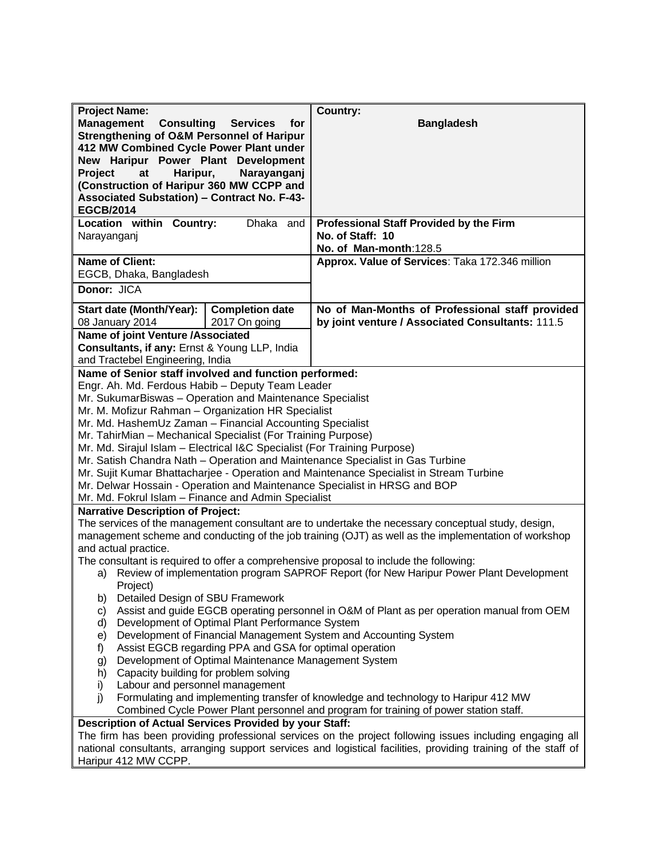| <b>Project Name:</b>                                                                                                                                                  |                                                         | <b>Country:</b>                                                                                                |
|-----------------------------------------------------------------------------------------------------------------------------------------------------------------------|---------------------------------------------------------|----------------------------------------------------------------------------------------------------------------|
| <b>Management</b><br><b>Consulting</b><br>Strengthening of O&M Personnel of Haripur<br>412 MW Combined Cycle Power Plant under<br>New Haripur Power Plant Development | <b>Services</b><br>for                                  | <b>Bangladesh</b>                                                                                              |
| <b>Project</b><br>Haripur,<br>at                                                                                                                                      | Narayanganj                                             |                                                                                                                |
| (Construction of Haripur 360 MW CCPP and                                                                                                                              |                                                         |                                                                                                                |
| <b>Associated Substation) - Contract No. F-43-</b>                                                                                                                    |                                                         |                                                                                                                |
| <b>EGCB/2014</b>                                                                                                                                                      |                                                         |                                                                                                                |
| Location within Country:                                                                                                                                              | Dhaka and                                               | <b>Professional Staff Provided by the Firm</b>                                                                 |
| Narayanganj                                                                                                                                                           |                                                         | No. of Staff: 10                                                                                               |
| <b>Name of Client:</b>                                                                                                                                                |                                                         | No. of Man-month:128.5                                                                                         |
| EGCB, Dhaka, Bangladesh                                                                                                                                               |                                                         | Approx. Value of Services: Taka 172.346 million                                                                |
| Donor: JICA                                                                                                                                                           |                                                         |                                                                                                                |
|                                                                                                                                                                       |                                                         |                                                                                                                |
| Start date (Month/Year):                                                                                                                                              | <b>Completion date</b>                                  | No of Man-Months of Professional staff provided                                                                |
| 08 January 2014                                                                                                                                                       | 2017 On going                                           | by joint venture / Associated Consultants: 111.5                                                               |
| Name of joint Venture /Associated                                                                                                                                     |                                                         |                                                                                                                |
| Consultants, if any: Ernst & Young LLP, India                                                                                                                         |                                                         |                                                                                                                |
| and Tractebel Engineering, India                                                                                                                                      |                                                         |                                                                                                                |
| Name of Senior staff involved and function performed:<br>Engr. Ah. Md. Ferdous Habib - Deputy Team Leader                                                             |                                                         |                                                                                                                |
| Mr. SukumarBiswas - Operation and Maintenance Specialist                                                                                                              |                                                         |                                                                                                                |
| Mr. M. Mofizur Rahman - Organization HR Specialist                                                                                                                    |                                                         |                                                                                                                |
| Mr. Md. HashemUz Zaman - Financial Accounting Specialist                                                                                                              |                                                         |                                                                                                                |
| Mr. TahirMian - Mechanical Specialist (For Training Purpose)                                                                                                          |                                                         |                                                                                                                |
| Mr. Md. Sirajul Islam - Electrical I&C Specialist (For Training Purpose)                                                                                              |                                                         |                                                                                                                |
| Mr. Satish Chandra Nath - Operation and Maintenance Specialist in Gas Turbine                                                                                         |                                                         |                                                                                                                |
| Mr. Sujit Kumar Bhattacharjee - Operation and Maintenance Specialist in Stream Turbine                                                                                |                                                         |                                                                                                                |
| Mr. Delwar Hossain - Operation and Maintenance Specialist in HRSG and BOP                                                                                             |                                                         |                                                                                                                |
| Mr. Md. Fokrul Islam - Finance and Admin Specialist                                                                                                                   |                                                         |                                                                                                                |
| <b>Narrative Description of Project:</b>                                                                                                                              |                                                         | The services of the management consultant are to undertake the necessary conceptual study, design,             |
|                                                                                                                                                                       |                                                         | management scheme and conducting of the job training (OJT) as well as the implementation of workshop           |
| and actual practice.                                                                                                                                                  |                                                         |                                                                                                                |
|                                                                                                                                                                       |                                                         | The consultant is required to offer a comprehensive proposal to include the following:                         |
|                                                                                                                                                                       |                                                         | a) Review of implementation program SAPROF Report (for New Haripur Power Plant Development                     |
| Project)                                                                                                                                                              |                                                         |                                                                                                                |
| Detailed Design of SBU Framework<br>b)                                                                                                                                |                                                         |                                                                                                                |
| C)                                                                                                                                                                    |                                                         | Assist and guide EGCB operating personnel in O&M of Plant as per operation manual from OEM                     |
| d)                                                                                                                                                                    | Development of Optimal Plant Performance System         |                                                                                                                |
| e)                                                                                                                                                                    | Assist EGCB regarding PPA and GSA for optimal operation | Development of Financial Management System and Accounting System                                               |
| f)<br>g)                                                                                                                                                              | Development of Optimal Maintenance Management System    |                                                                                                                |
| Capacity building for problem solving<br>h)                                                                                                                           |                                                         |                                                                                                                |
| Labour and personnel management<br>i)                                                                                                                                 |                                                         |                                                                                                                |
| j)                                                                                                                                                                    |                                                         | Formulating and implementing transfer of knowledge and technology to Haripur 412 MW                            |
|                                                                                                                                                                       |                                                         | Combined Cycle Power Plant personnel and program for training of power station staff.                          |
| <b>Description of Actual Services Provided by your Staff:</b>                                                                                                         |                                                         |                                                                                                                |
|                                                                                                                                                                       |                                                         | The firm has been providing professional services on the project following issues including engaging all       |
|                                                                                                                                                                       |                                                         | national consultants, arranging support services and logistical facilities, providing training of the staff of |
| Haripur 412 MW CCPP.                                                                                                                                                  |                                                         |                                                                                                                |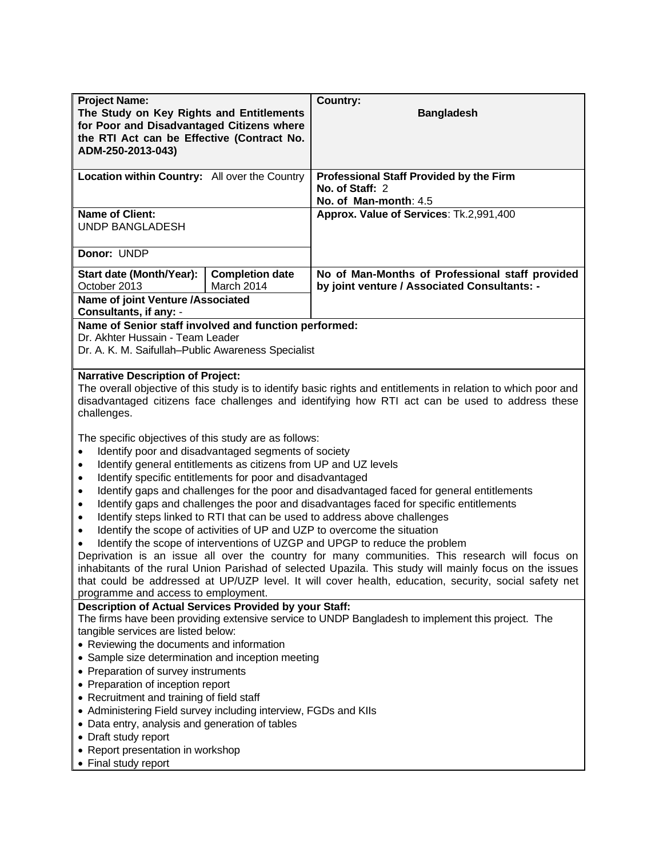| <b>Project Name:</b>                                                                                                                                                                                                                                                                |                                      | <b>Country:</b>                                                                                                                                                                                                                                                                                                    |
|-------------------------------------------------------------------------------------------------------------------------------------------------------------------------------------------------------------------------------------------------------------------------------------|--------------------------------------|--------------------------------------------------------------------------------------------------------------------------------------------------------------------------------------------------------------------------------------------------------------------------------------------------------------------|
| The Study on Key Rights and Entitlements<br>for Poor and Disadvantaged Citizens where<br>the RTI Act can be Effective (Contract No.<br>ADM-250-2013-043)                                                                                                                            |                                      | <b>Bangladesh</b>                                                                                                                                                                                                                                                                                                  |
| Location within Country: All over the Country                                                                                                                                                                                                                                       |                                      | <b>Professional Staff Provided by the Firm</b><br>No. of Staff: 2<br>No. of Man-month: 4.5                                                                                                                                                                                                                         |
| <b>Name of Client:</b><br><b>UNDP BANGLADESH</b>                                                                                                                                                                                                                                    |                                      | Approx. Value of Services: Tk.2,991,400                                                                                                                                                                                                                                                                            |
| Donor: UNDP                                                                                                                                                                                                                                                                         |                                      |                                                                                                                                                                                                                                                                                                                    |
| Start date (Month/Year):<br>October 2013<br>Name of joint Venture /Associated                                                                                                                                                                                                       | <b>Completion date</b><br>March 2014 | No of Man-Months of Professional staff provided<br>by joint venture / Associated Consultants: -                                                                                                                                                                                                                    |
| Consultants, if any: -<br>Name of Senior staff involved and function performed:<br>Dr. Akhter Hussain - Team Leader<br>Dr. A. K. M. Saifullah-Public Awareness Specialist<br><b>Narrative Description of Project:</b>                                                               |                                      |                                                                                                                                                                                                                                                                                                                    |
| challenges.                                                                                                                                                                                                                                                                         |                                      | The overall objective of this study is to identify basic rights and entitlements in relation to which poor and<br>disadvantaged citizens face challenges and identifying how RTI act can be used to address these                                                                                                  |
| The specific objectives of this study are as follows:<br>Identify poor and disadvantaged segments of society<br>$\bullet$<br>Identify general entitlements as citizens from UP and UZ levels<br>$\bullet$<br>Identify specific entitlements for poor and disadvantaged<br>$\bullet$ |                                      |                                                                                                                                                                                                                                                                                                                    |
| $\bullet$<br>$\bullet$<br>$\bullet$                                                                                                                                                                                                                                                 |                                      | Identify gaps and challenges for the poor and disadvantaged faced for general entitlements<br>Identify gaps and challenges the poor and disadvantages faced for specific entitlements<br>Identify steps linked to RTI that can be used to address above challenges                                                 |
| $\bullet$                                                                                                                                                                                                                                                                           |                                      | Identify the scope of activities of UP and UZP to overcome the situation<br>Identify the scope of interventions of UZGP and UPGP to reduce the problem                                                                                                                                                             |
| programme and access to employment.                                                                                                                                                                                                                                                 |                                      | Deprivation is an issue all over the country for many communities. This research will focus on<br>inhabitants of the rural Union Parishad of selected Upazila. This study will mainly focus on the issues<br>that could be addressed at UP/UZP level. It will cover health, education, security, social safety net |
| Description of Actual Services Provided by your Staff:<br>tangible services are listed below:                                                                                                                                                                                       |                                      | The firms have been providing extensive service to UNDP Bangladesh to implement this project. The                                                                                                                                                                                                                  |
| • Reviewing the documents and information<br>• Sample size determination and inception meeting                                                                                                                                                                                      |                                      |                                                                                                                                                                                                                                                                                                                    |
| • Preparation of survey instruments                                                                                                                                                                                                                                                 |                                      |                                                                                                                                                                                                                                                                                                                    |
| • Preparation of inception report<br>• Recruitment and training of field staff                                                                                                                                                                                                      |                                      |                                                                                                                                                                                                                                                                                                                    |
| • Administering Field survey including interview, FGDs and KIIs<br>• Data entry, analysis and generation of tables                                                                                                                                                                  |                                      |                                                                                                                                                                                                                                                                                                                    |
| • Draft study report                                                                                                                                                                                                                                                                |                                      |                                                                                                                                                                                                                                                                                                                    |
| • Report presentation in workshop<br>• Final study report                                                                                                                                                                                                                           |                                      |                                                                                                                                                                                                                                                                                                                    |
|                                                                                                                                                                                                                                                                                     |                                      |                                                                                                                                                                                                                                                                                                                    |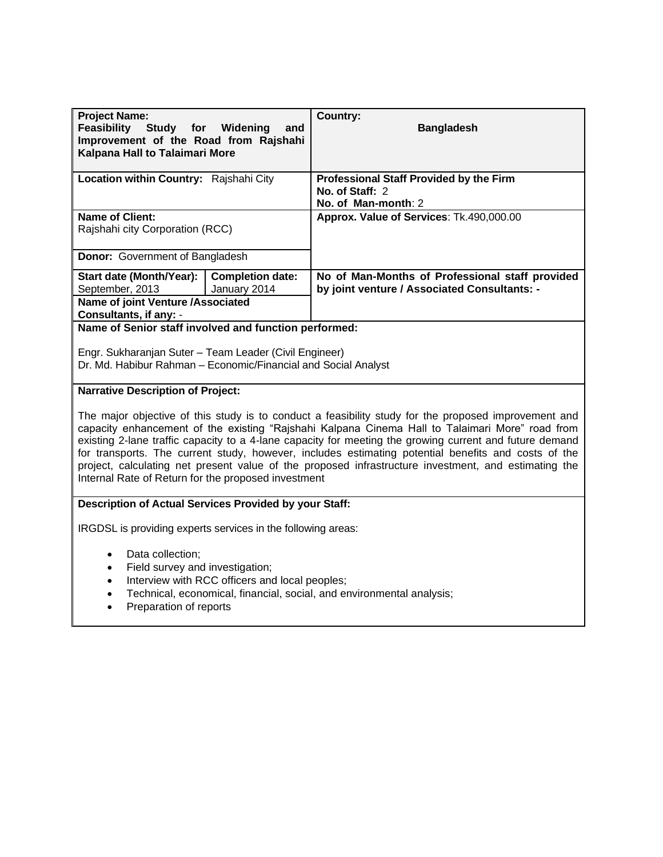| <b>Project Name:</b><br><b>Feasibility</b><br>Improvement of the Road from Rajshahi<br>Kalpana Hall to Talaimari More | Study for Widening<br>and               | <b>Country:</b><br><b>Bangladesh</b>                                                            |
|-----------------------------------------------------------------------------------------------------------------------|-----------------------------------------|-------------------------------------------------------------------------------------------------|
| Location within Country: Rajshahi City                                                                                |                                         | <b>Professional Staff Provided by the Firm</b><br>No. of Staff: 2<br>No. of Man-month: 2        |
| <b>Name of Client:</b><br>Rajshahi city Corporation (RCC)                                                             |                                         | Approx. Value of Services: Tk.490,000.00                                                        |
| <b>Donor:</b> Government of Bangladesh                                                                                |                                         |                                                                                                 |
| Start date (Month/Year):<br>September, 2013                                                                           | <b>Completion date:</b><br>January 2014 | No of Man-Months of Professional staff provided<br>by joint venture / Associated Consultants: - |
| <b>Name of joint Venture /Associated</b><br>Consultants, if any: -                                                    |                                         |                                                                                                 |

**Name of Senior staff involved and function performed:**

Engr. Sukharanjan Suter – Team Leader (Civil Engineer) Dr. Md. Habibur Rahman – Economic/Financial and Social Analyst

#### **Narrative Description of Project:**

The major objective of this study is to conduct a feasibility study for the proposed improvement and capacity enhancement of the existing "Rajshahi Kalpana Cinema Hall to Talaimari More" road from existing 2-lane traffic capacity to a 4-lane capacity for meeting the growing current and future demand for transports. The current study, however, includes estimating potential benefits and costs of the project, calculating net present value of the proposed infrastructure investment, and estimating the Internal Rate of Return for the proposed investment

### **Description of Actual Services Provided by your Staff:**

IRGDSL is providing experts services in the following areas:

- Data collection;
- Field survey and investigation;
- Interview with RCC officers and local peoples;
- Technical, economical, financial, social, and environmental analysis;
- Preparation of reports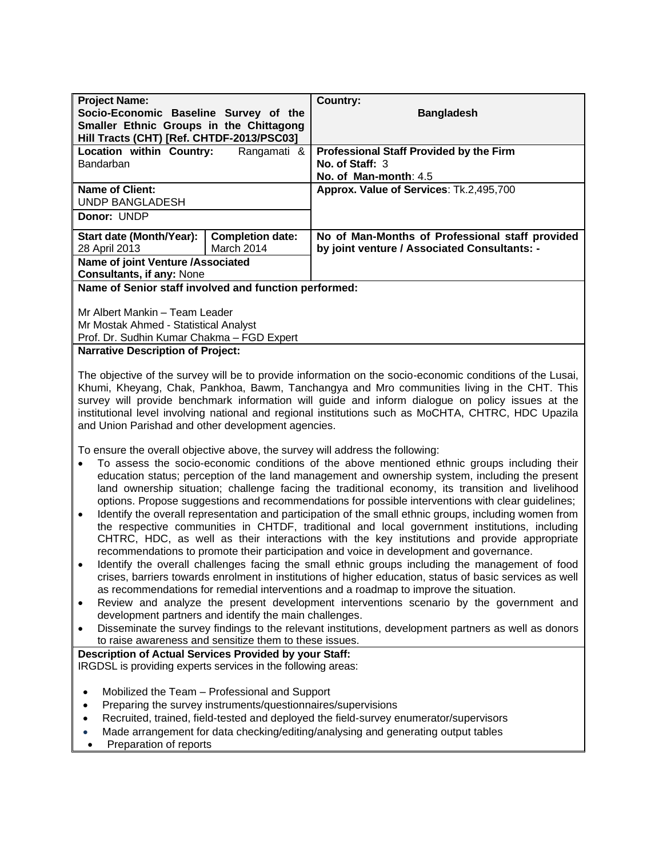| <b>Country:</b><br>Socio-Economic Baseline Survey of the<br><b>Bangladesh</b><br>Smaller Ethnic Groups in the Chittagong<br>Hill Tracts (CHT) [Ref. CHTDF-2013/PSC03]<br>Location within Country:<br><b>Professional Staff Provided by the Firm</b><br>Rangamati &<br>Bandarban<br>No. of Staff: 3<br>No. of Man-month: 4.5<br>Approx. Value of Services: Tk.2,495,700<br><b>Name of Client:</b><br><b>UNDP BANGLADESH</b><br>Donor: UNDP<br><b>Start date (Month/Year):</b><br><b>Completion date:</b><br>No of Man-Months of Professional staff provided<br>March 2014<br>by joint venture / Associated Consultants: -<br>28 April 2013<br>Name of joint Venture /Associated<br><b>Consultants, if any: None</b><br>Name of Senior staff involved and function performed:<br>Mr Albert Mankin - Team Leader<br>Mr Mostak Ahmed - Statistical Analyst<br>Prof. Dr. Sudhin Kumar Chakma - FGD Expert<br><b>Narrative Description of Project:</b><br>The objective of the survey will be to provide information on the socio-economic conditions of the Lusai,<br>Khumi, Kheyang, Chak, Pankhoa, Bawm, Tanchangya and Mro communities living in the CHT. This<br>survey will provide benchmark information will guide and inform dialogue on policy issues at the<br>institutional level involving national and regional institutions such as MoCHTA, CHTRC, HDC Upazila<br>and Union Parishad and other development agencies.<br>To ensure the overall objective above, the survey will address the following:<br>To assess the socio-economic conditions of the above mentioned ethnic groups including their<br>education status; perception of the land management and ownership system, including the present<br>land ownership situation; challenge facing the traditional economy, its transition and livelihood<br>options. Propose suggestions and recommendations for possible interventions with clear guidelines;<br>Identify the overall representation and participation of the small ethnic groups, including women from<br>$\bullet$<br>the respective communities in CHTDF, traditional and local government institutions, including<br>CHTRC, HDC, as well as their interactions with the key institutions and provide appropriate<br>recommendations to promote their participation and voice in development and governance.<br>Identify the overall challenges facing the small ethnic groups including the management of food<br>crises, barriers towards enrolment in institutions of higher education, status of basic services as well<br>as recommendations for remedial interventions and a roadmap to improve the situation.<br>Review and analyze the present development interventions scenario by the government and<br>$\bullet$<br>development partners and identify the main challenges.<br>Disseminate the survey findings to the relevant institutions, development partners as well as donors<br>to raise awareness and sensitize them to these issues.<br>Description of Actual Services Provided by your Staff:<br>IRGDSL is providing experts services in the following areas:<br>Mobilized the Team - Professional and Support<br>$\bullet$<br>Preparing the survey instruments/questionnaires/supervisions<br>$\bullet$<br>Recruited, trained, field-tested and deployed the field-survey enumerator/supervisors<br>$\bullet$<br>Made arrangement for data checking/editing/analysing and generating output tables |                      |  |  |
|------------------------------------------------------------------------------------------------------------------------------------------------------------------------------------------------------------------------------------------------------------------------------------------------------------------------------------------------------------------------------------------------------------------------------------------------------------------------------------------------------------------------------------------------------------------------------------------------------------------------------------------------------------------------------------------------------------------------------------------------------------------------------------------------------------------------------------------------------------------------------------------------------------------------------------------------------------------------------------------------------------------------------------------------------------------------------------------------------------------------------------------------------------------------------------------------------------------------------------------------------------------------------------------------------------------------------------------------------------------------------------------------------------------------------------------------------------------------------------------------------------------------------------------------------------------------------------------------------------------------------------------------------------------------------------------------------------------------------------------------------------------------------------------------------------------------------------------------------------------------------------------------------------------------------------------------------------------------------------------------------------------------------------------------------------------------------------------------------------------------------------------------------------------------------------------------------------------------------------------------------------------------------------------------------------------------------------------------------------------------------------------------------------------------------------------------------------------------------------------------------------------------------------------------------------------------------------------------------------------------------------------------------------------------------------------------------------------------------------------------------------------------------------------------------------------------------------------------------------------------------------------------------------------------------------------------------------------------------------------------------------------------------------------------------------------------------------------------------------------------------------------------------------------------------------------------------------------------------------------------------------------------------------------------------------------------------------------------------------------------------------------------------------------------------------------------------------|----------------------|--|--|
|                                                                                                                                                                                                                                                                                                                                                                                                                                                                                                                                                                                                                                                                                                                                                                                                                                                                                                                                                                                                                                                                                                                                                                                                                                                                                                                                                                                                                                                                                                                                                                                                                                                                                                                                                                                                                                                                                                                                                                                                                                                                                                                                                                                                                                                                                                                                                                                                                                                                                                                                                                                                                                                                                                                                                                                                                                                                                                                                                                                                                                                                                                                                                                                                                                                                                                                                                                                                                                                            | <b>Project Name:</b> |  |  |
|                                                                                                                                                                                                                                                                                                                                                                                                                                                                                                                                                                                                                                                                                                                                                                                                                                                                                                                                                                                                                                                                                                                                                                                                                                                                                                                                                                                                                                                                                                                                                                                                                                                                                                                                                                                                                                                                                                                                                                                                                                                                                                                                                                                                                                                                                                                                                                                                                                                                                                                                                                                                                                                                                                                                                                                                                                                                                                                                                                                                                                                                                                                                                                                                                                                                                                                                                                                                                                                            |                      |  |  |
|                                                                                                                                                                                                                                                                                                                                                                                                                                                                                                                                                                                                                                                                                                                                                                                                                                                                                                                                                                                                                                                                                                                                                                                                                                                                                                                                                                                                                                                                                                                                                                                                                                                                                                                                                                                                                                                                                                                                                                                                                                                                                                                                                                                                                                                                                                                                                                                                                                                                                                                                                                                                                                                                                                                                                                                                                                                                                                                                                                                                                                                                                                                                                                                                                                                                                                                                                                                                                                                            |                      |  |  |
|                                                                                                                                                                                                                                                                                                                                                                                                                                                                                                                                                                                                                                                                                                                                                                                                                                                                                                                                                                                                                                                                                                                                                                                                                                                                                                                                                                                                                                                                                                                                                                                                                                                                                                                                                                                                                                                                                                                                                                                                                                                                                                                                                                                                                                                                                                                                                                                                                                                                                                                                                                                                                                                                                                                                                                                                                                                                                                                                                                                                                                                                                                                                                                                                                                                                                                                                                                                                                                                            |                      |  |  |
|                                                                                                                                                                                                                                                                                                                                                                                                                                                                                                                                                                                                                                                                                                                                                                                                                                                                                                                                                                                                                                                                                                                                                                                                                                                                                                                                                                                                                                                                                                                                                                                                                                                                                                                                                                                                                                                                                                                                                                                                                                                                                                                                                                                                                                                                                                                                                                                                                                                                                                                                                                                                                                                                                                                                                                                                                                                                                                                                                                                                                                                                                                                                                                                                                                                                                                                                                                                                                                                            |                      |  |  |
|                                                                                                                                                                                                                                                                                                                                                                                                                                                                                                                                                                                                                                                                                                                                                                                                                                                                                                                                                                                                                                                                                                                                                                                                                                                                                                                                                                                                                                                                                                                                                                                                                                                                                                                                                                                                                                                                                                                                                                                                                                                                                                                                                                                                                                                                                                                                                                                                                                                                                                                                                                                                                                                                                                                                                                                                                                                                                                                                                                                                                                                                                                                                                                                                                                                                                                                                                                                                                                                            |                      |  |  |
|                                                                                                                                                                                                                                                                                                                                                                                                                                                                                                                                                                                                                                                                                                                                                                                                                                                                                                                                                                                                                                                                                                                                                                                                                                                                                                                                                                                                                                                                                                                                                                                                                                                                                                                                                                                                                                                                                                                                                                                                                                                                                                                                                                                                                                                                                                                                                                                                                                                                                                                                                                                                                                                                                                                                                                                                                                                                                                                                                                                                                                                                                                                                                                                                                                                                                                                                                                                                                                                            |                      |  |  |
|                                                                                                                                                                                                                                                                                                                                                                                                                                                                                                                                                                                                                                                                                                                                                                                                                                                                                                                                                                                                                                                                                                                                                                                                                                                                                                                                                                                                                                                                                                                                                                                                                                                                                                                                                                                                                                                                                                                                                                                                                                                                                                                                                                                                                                                                                                                                                                                                                                                                                                                                                                                                                                                                                                                                                                                                                                                                                                                                                                                                                                                                                                                                                                                                                                                                                                                                                                                                                                                            |                      |  |  |
|                                                                                                                                                                                                                                                                                                                                                                                                                                                                                                                                                                                                                                                                                                                                                                                                                                                                                                                                                                                                                                                                                                                                                                                                                                                                                                                                                                                                                                                                                                                                                                                                                                                                                                                                                                                                                                                                                                                                                                                                                                                                                                                                                                                                                                                                                                                                                                                                                                                                                                                                                                                                                                                                                                                                                                                                                                                                                                                                                                                                                                                                                                                                                                                                                                                                                                                                                                                                                                                            |                      |  |  |
|                                                                                                                                                                                                                                                                                                                                                                                                                                                                                                                                                                                                                                                                                                                                                                                                                                                                                                                                                                                                                                                                                                                                                                                                                                                                                                                                                                                                                                                                                                                                                                                                                                                                                                                                                                                                                                                                                                                                                                                                                                                                                                                                                                                                                                                                                                                                                                                                                                                                                                                                                                                                                                                                                                                                                                                                                                                                                                                                                                                                                                                                                                                                                                                                                                                                                                                                                                                                                                                            |                      |  |  |
|                                                                                                                                                                                                                                                                                                                                                                                                                                                                                                                                                                                                                                                                                                                                                                                                                                                                                                                                                                                                                                                                                                                                                                                                                                                                                                                                                                                                                                                                                                                                                                                                                                                                                                                                                                                                                                                                                                                                                                                                                                                                                                                                                                                                                                                                                                                                                                                                                                                                                                                                                                                                                                                                                                                                                                                                                                                                                                                                                                                                                                                                                                                                                                                                                                                                                                                                                                                                                                                            |                      |  |  |
|                                                                                                                                                                                                                                                                                                                                                                                                                                                                                                                                                                                                                                                                                                                                                                                                                                                                                                                                                                                                                                                                                                                                                                                                                                                                                                                                                                                                                                                                                                                                                                                                                                                                                                                                                                                                                                                                                                                                                                                                                                                                                                                                                                                                                                                                                                                                                                                                                                                                                                                                                                                                                                                                                                                                                                                                                                                                                                                                                                                                                                                                                                                                                                                                                                                                                                                                                                                                                                                            |                      |  |  |
|                                                                                                                                                                                                                                                                                                                                                                                                                                                                                                                                                                                                                                                                                                                                                                                                                                                                                                                                                                                                                                                                                                                                                                                                                                                                                                                                                                                                                                                                                                                                                                                                                                                                                                                                                                                                                                                                                                                                                                                                                                                                                                                                                                                                                                                                                                                                                                                                                                                                                                                                                                                                                                                                                                                                                                                                                                                                                                                                                                                                                                                                                                                                                                                                                                                                                                                                                                                                                                                            |                      |  |  |
|                                                                                                                                                                                                                                                                                                                                                                                                                                                                                                                                                                                                                                                                                                                                                                                                                                                                                                                                                                                                                                                                                                                                                                                                                                                                                                                                                                                                                                                                                                                                                                                                                                                                                                                                                                                                                                                                                                                                                                                                                                                                                                                                                                                                                                                                                                                                                                                                                                                                                                                                                                                                                                                                                                                                                                                                                                                                                                                                                                                                                                                                                                                                                                                                                                                                                                                                                                                                                                                            |                      |  |  |
|                                                                                                                                                                                                                                                                                                                                                                                                                                                                                                                                                                                                                                                                                                                                                                                                                                                                                                                                                                                                                                                                                                                                                                                                                                                                                                                                                                                                                                                                                                                                                                                                                                                                                                                                                                                                                                                                                                                                                                                                                                                                                                                                                                                                                                                                                                                                                                                                                                                                                                                                                                                                                                                                                                                                                                                                                                                                                                                                                                                                                                                                                                                                                                                                                                                                                                                                                                                                                                                            |                      |  |  |
|                                                                                                                                                                                                                                                                                                                                                                                                                                                                                                                                                                                                                                                                                                                                                                                                                                                                                                                                                                                                                                                                                                                                                                                                                                                                                                                                                                                                                                                                                                                                                                                                                                                                                                                                                                                                                                                                                                                                                                                                                                                                                                                                                                                                                                                                                                                                                                                                                                                                                                                                                                                                                                                                                                                                                                                                                                                                                                                                                                                                                                                                                                                                                                                                                                                                                                                                                                                                                                                            |                      |  |  |
|                                                                                                                                                                                                                                                                                                                                                                                                                                                                                                                                                                                                                                                                                                                                                                                                                                                                                                                                                                                                                                                                                                                                                                                                                                                                                                                                                                                                                                                                                                                                                                                                                                                                                                                                                                                                                                                                                                                                                                                                                                                                                                                                                                                                                                                                                                                                                                                                                                                                                                                                                                                                                                                                                                                                                                                                                                                                                                                                                                                                                                                                                                                                                                                                                                                                                                                                                                                                                                                            |                      |  |  |
|                                                                                                                                                                                                                                                                                                                                                                                                                                                                                                                                                                                                                                                                                                                                                                                                                                                                                                                                                                                                                                                                                                                                                                                                                                                                                                                                                                                                                                                                                                                                                                                                                                                                                                                                                                                                                                                                                                                                                                                                                                                                                                                                                                                                                                                                                                                                                                                                                                                                                                                                                                                                                                                                                                                                                                                                                                                                                                                                                                                                                                                                                                                                                                                                                                                                                                                                                                                                                                                            |                      |  |  |
|                                                                                                                                                                                                                                                                                                                                                                                                                                                                                                                                                                                                                                                                                                                                                                                                                                                                                                                                                                                                                                                                                                                                                                                                                                                                                                                                                                                                                                                                                                                                                                                                                                                                                                                                                                                                                                                                                                                                                                                                                                                                                                                                                                                                                                                                                                                                                                                                                                                                                                                                                                                                                                                                                                                                                                                                                                                                                                                                                                                                                                                                                                                                                                                                                                                                                                                                                                                                                                                            |                      |  |  |
|                                                                                                                                                                                                                                                                                                                                                                                                                                                                                                                                                                                                                                                                                                                                                                                                                                                                                                                                                                                                                                                                                                                                                                                                                                                                                                                                                                                                                                                                                                                                                                                                                                                                                                                                                                                                                                                                                                                                                                                                                                                                                                                                                                                                                                                                                                                                                                                                                                                                                                                                                                                                                                                                                                                                                                                                                                                                                                                                                                                                                                                                                                                                                                                                                                                                                                                                                                                                                                                            |                      |  |  |
|                                                                                                                                                                                                                                                                                                                                                                                                                                                                                                                                                                                                                                                                                                                                                                                                                                                                                                                                                                                                                                                                                                                                                                                                                                                                                                                                                                                                                                                                                                                                                                                                                                                                                                                                                                                                                                                                                                                                                                                                                                                                                                                                                                                                                                                                                                                                                                                                                                                                                                                                                                                                                                                                                                                                                                                                                                                                                                                                                                                                                                                                                                                                                                                                                                                                                                                                                                                                                                                            |                      |  |  |
|                                                                                                                                                                                                                                                                                                                                                                                                                                                                                                                                                                                                                                                                                                                                                                                                                                                                                                                                                                                                                                                                                                                                                                                                                                                                                                                                                                                                                                                                                                                                                                                                                                                                                                                                                                                                                                                                                                                                                                                                                                                                                                                                                                                                                                                                                                                                                                                                                                                                                                                                                                                                                                                                                                                                                                                                                                                                                                                                                                                                                                                                                                                                                                                                                                                                                                                                                                                                                                                            |                      |  |  |
|                                                                                                                                                                                                                                                                                                                                                                                                                                                                                                                                                                                                                                                                                                                                                                                                                                                                                                                                                                                                                                                                                                                                                                                                                                                                                                                                                                                                                                                                                                                                                                                                                                                                                                                                                                                                                                                                                                                                                                                                                                                                                                                                                                                                                                                                                                                                                                                                                                                                                                                                                                                                                                                                                                                                                                                                                                                                                                                                                                                                                                                                                                                                                                                                                                                                                                                                                                                                                                                            |                      |  |  |
|                                                                                                                                                                                                                                                                                                                                                                                                                                                                                                                                                                                                                                                                                                                                                                                                                                                                                                                                                                                                                                                                                                                                                                                                                                                                                                                                                                                                                                                                                                                                                                                                                                                                                                                                                                                                                                                                                                                                                                                                                                                                                                                                                                                                                                                                                                                                                                                                                                                                                                                                                                                                                                                                                                                                                                                                                                                                                                                                                                                                                                                                                                                                                                                                                                                                                                                                                                                                                                                            |                      |  |  |
|                                                                                                                                                                                                                                                                                                                                                                                                                                                                                                                                                                                                                                                                                                                                                                                                                                                                                                                                                                                                                                                                                                                                                                                                                                                                                                                                                                                                                                                                                                                                                                                                                                                                                                                                                                                                                                                                                                                                                                                                                                                                                                                                                                                                                                                                                                                                                                                                                                                                                                                                                                                                                                                                                                                                                                                                                                                                                                                                                                                                                                                                                                                                                                                                                                                                                                                                                                                                                                                            |                      |  |  |
|                                                                                                                                                                                                                                                                                                                                                                                                                                                                                                                                                                                                                                                                                                                                                                                                                                                                                                                                                                                                                                                                                                                                                                                                                                                                                                                                                                                                                                                                                                                                                                                                                                                                                                                                                                                                                                                                                                                                                                                                                                                                                                                                                                                                                                                                                                                                                                                                                                                                                                                                                                                                                                                                                                                                                                                                                                                                                                                                                                                                                                                                                                                                                                                                                                                                                                                                                                                                                                                            |                      |  |  |
|                                                                                                                                                                                                                                                                                                                                                                                                                                                                                                                                                                                                                                                                                                                                                                                                                                                                                                                                                                                                                                                                                                                                                                                                                                                                                                                                                                                                                                                                                                                                                                                                                                                                                                                                                                                                                                                                                                                                                                                                                                                                                                                                                                                                                                                                                                                                                                                                                                                                                                                                                                                                                                                                                                                                                                                                                                                                                                                                                                                                                                                                                                                                                                                                                                                                                                                                                                                                                                                            |                      |  |  |
|                                                                                                                                                                                                                                                                                                                                                                                                                                                                                                                                                                                                                                                                                                                                                                                                                                                                                                                                                                                                                                                                                                                                                                                                                                                                                                                                                                                                                                                                                                                                                                                                                                                                                                                                                                                                                                                                                                                                                                                                                                                                                                                                                                                                                                                                                                                                                                                                                                                                                                                                                                                                                                                                                                                                                                                                                                                                                                                                                                                                                                                                                                                                                                                                                                                                                                                                                                                                                                                            |                      |  |  |
|                                                                                                                                                                                                                                                                                                                                                                                                                                                                                                                                                                                                                                                                                                                                                                                                                                                                                                                                                                                                                                                                                                                                                                                                                                                                                                                                                                                                                                                                                                                                                                                                                                                                                                                                                                                                                                                                                                                                                                                                                                                                                                                                                                                                                                                                                                                                                                                                                                                                                                                                                                                                                                                                                                                                                                                                                                                                                                                                                                                                                                                                                                                                                                                                                                                                                                                                                                                                                                                            |                      |  |  |
|                                                                                                                                                                                                                                                                                                                                                                                                                                                                                                                                                                                                                                                                                                                                                                                                                                                                                                                                                                                                                                                                                                                                                                                                                                                                                                                                                                                                                                                                                                                                                                                                                                                                                                                                                                                                                                                                                                                                                                                                                                                                                                                                                                                                                                                                                                                                                                                                                                                                                                                                                                                                                                                                                                                                                                                                                                                                                                                                                                                                                                                                                                                                                                                                                                                                                                                                                                                                                                                            |                      |  |  |
|                                                                                                                                                                                                                                                                                                                                                                                                                                                                                                                                                                                                                                                                                                                                                                                                                                                                                                                                                                                                                                                                                                                                                                                                                                                                                                                                                                                                                                                                                                                                                                                                                                                                                                                                                                                                                                                                                                                                                                                                                                                                                                                                                                                                                                                                                                                                                                                                                                                                                                                                                                                                                                                                                                                                                                                                                                                                                                                                                                                                                                                                                                                                                                                                                                                                                                                                                                                                                                                            |                      |  |  |
|                                                                                                                                                                                                                                                                                                                                                                                                                                                                                                                                                                                                                                                                                                                                                                                                                                                                                                                                                                                                                                                                                                                                                                                                                                                                                                                                                                                                                                                                                                                                                                                                                                                                                                                                                                                                                                                                                                                                                                                                                                                                                                                                                                                                                                                                                                                                                                                                                                                                                                                                                                                                                                                                                                                                                                                                                                                                                                                                                                                                                                                                                                                                                                                                                                                                                                                                                                                                                                                            |                      |  |  |
|                                                                                                                                                                                                                                                                                                                                                                                                                                                                                                                                                                                                                                                                                                                                                                                                                                                                                                                                                                                                                                                                                                                                                                                                                                                                                                                                                                                                                                                                                                                                                                                                                                                                                                                                                                                                                                                                                                                                                                                                                                                                                                                                                                                                                                                                                                                                                                                                                                                                                                                                                                                                                                                                                                                                                                                                                                                                                                                                                                                                                                                                                                                                                                                                                                                                                                                                                                                                                                                            |                      |  |  |
|                                                                                                                                                                                                                                                                                                                                                                                                                                                                                                                                                                                                                                                                                                                                                                                                                                                                                                                                                                                                                                                                                                                                                                                                                                                                                                                                                                                                                                                                                                                                                                                                                                                                                                                                                                                                                                                                                                                                                                                                                                                                                                                                                                                                                                                                                                                                                                                                                                                                                                                                                                                                                                                                                                                                                                                                                                                                                                                                                                                                                                                                                                                                                                                                                                                                                                                                                                                                                                                            |                      |  |  |
|                                                                                                                                                                                                                                                                                                                                                                                                                                                                                                                                                                                                                                                                                                                                                                                                                                                                                                                                                                                                                                                                                                                                                                                                                                                                                                                                                                                                                                                                                                                                                                                                                                                                                                                                                                                                                                                                                                                                                                                                                                                                                                                                                                                                                                                                                                                                                                                                                                                                                                                                                                                                                                                                                                                                                                                                                                                                                                                                                                                                                                                                                                                                                                                                                                                                                                                                                                                                                                                            |                      |  |  |
|                                                                                                                                                                                                                                                                                                                                                                                                                                                                                                                                                                                                                                                                                                                                                                                                                                                                                                                                                                                                                                                                                                                                                                                                                                                                                                                                                                                                                                                                                                                                                                                                                                                                                                                                                                                                                                                                                                                                                                                                                                                                                                                                                                                                                                                                                                                                                                                                                                                                                                                                                                                                                                                                                                                                                                                                                                                                                                                                                                                                                                                                                                                                                                                                                                                                                                                                                                                                                                                            |                      |  |  |
|                                                                                                                                                                                                                                                                                                                                                                                                                                                                                                                                                                                                                                                                                                                                                                                                                                                                                                                                                                                                                                                                                                                                                                                                                                                                                                                                                                                                                                                                                                                                                                                                                                                                                                                                                                                                                                                                                                                                                                                                                                                                                                                                                                                                                                                                                                                                                                                                                                                                                                                                                                                                                                                                                                                                                                                                                                                                                                                                                                                                                                                                                                                                                                                                                                                                                                                                                                                                                                                            |                      |  |  |
|                                                                                                                                                                                                                                                                                                                                                                                                                                                                                                                                                                                                                                                                                                                                                                                                                                                                                                                                                                                                                                                                                                                                                                                                                                                                                                                                                                                                                                                                                                                                                                                                                                                                                                                                                                                                                                                                                                                                                                                                                                                                                                                                                                                                                                                                                                                                                                                                                                                                                                                                                                                                                                                                                                                                                                                                                                                                                                                                                                                                                                                                                                                                                                                                                                                                                                                                                                                                                                                            |                      |  |  |
|                                                                                                                                                                                                                                                                                                                                                                                                                                                                                                                                                                                                                                                                                                                                                                                                                                                                                                                                                                                                                                                                                                                                                                                                                                                                                                                                                                                                                                                                                                                                                                                                                                                                                                                                                                                                                                                                                                                                                                                                                                                                                                                                                                                                                                                                                                                                                                                                                                                                                                                                                                                                                                                                                                                                                                                                                                                                                                                                                                                                                                                                                                                                                                                                                                                                                                                                                                                                                                                            |                      |  |  |
|                                                                                                                                                                                                                                                                                                                                                                                                                                                                                                                                                                                                                                                                                                                                                                                                                                                                                                                                                                                                                                                                                                                                                                                                                                                                                                                                                                                                                                                                                                                                                                                                                                                                                                                                                                                                                                                                                                                                                                                                                                                                                                                                                                                                                                                                                                                                                                                                                                                                                                                                                                                                                                                                                                                                                                                                                                                                                                                                                                                                                                                                                                                                                                                                                                                                                                                                                                                                                                                            |                      |  |  |
|                                                                                                                                                                                                                                                                                                                                                                                                                                                                                                                                                                                                                                                                                                                                                                                                                                                                                                                                                                                                                                                                                                                                                                                                                                                                                                                                                                                                                                                                                                                                                                                                                                                                                                                                                                                                                                                                                                                                                                                                                                                                                                                                                                                                                                                                                                                                                                                                                                                                                                                                                                                                                                                                                                                                                                                                                                                                                                                                                                                                                                                                                                                                                                                                                                                                                                                                                                                                                                                            |                      |  |  |
|                                                                                                                                                                                                                                                                                                                                                                                                                                                                                                                                                                                                                                                                                                                                                                                                                                                                                                                                                                                                                                                                                                                                                                                                                                                                                                                                                                                                                                                                                                                                                                                                                                                                                                                                                                                                                                                                                                                                                                                                                                                                                                                                                                                                                                                                                                                                                                                                                                                                                                                                                                                                                                                                                                                                                                                                                                                                                                                                                                                                                                                                                                                                                                                                                                                                                                                                                                                                                                                            |                      |  |  |
|                                                                                                                                                                                                                                                                                                                                                                                                                                                                                                                                                                                                                                                                                                                                                                                                                                                                                                                                                                                                                                                                                                                                                                                                                                                                                                                                                                                                                                                                                                                                                                                                                                                                                                                                                                                                                                                                                                                                                                                                                                                                                                                                                                                                                                                                                                                                                                                                                                                                                                                                                                                                                                                                                                                                                                                                                                                                                                                                                                                                                                                                                                                                                                                                                                                                                                                                                                                                                                                            |                      |  |  |
|                                                                                                                                                                                                                                                                                                                                                                                                                                                                                                                                                                                                                                                                                                                                                                                                                                                                                                                                                                                                                                                                                                                                                                                                                                                                                                                                                                                                                                                                                                                                                                                                                                                                                                                                                                                                                                                                                                                                                                                                                                                                                                                                                                                                                                                                                                                                                                                                                                                                                                                                                                                                                                                                                                                                                                                                                                                                                                                                                                                                                                                                                                                                                                                                                                                                                                                                                                                                                                                            |                      |  |  |
|                                                                                                                                                                                                                                                                                                                                                                                                                                                                                                                                                                                                                                                                                                                                                                                                                                                                                                                                                                                                                                                                                                                                                                                                                                                                                                                                                                                                                                                                                                                                                                                                                                                                                                                                                                                                                                                                                                                                                                                                                                                                                                                                                                                                                                                                                                                                                                                                                                                                                                                                                                                                                                                                                                                                                                                                                                                                                                                                                                                                                                                                                                                                                                                                                                                                                                                                                                                                                                                            |                      |  |  |
|                                                                                                                                                                                                                                                                                                                                                                                                                                                                                                                                                                                                                                                                                                                                                                                                                                                                                                                                                                                                                                                                                                                                                                                                                                                                                                                                                                                                                                                                                                                                                                                                                                                                                                                                                                                                                                                                                                                                                                                                                                                                                                                                                                                                                                                                                                                                                                                                                                                                                                                                                                                                                                                                                                                                                                                                                                                                                                                                                                                                                                                                                                                                                                                                                                                                                                                                                                                                                                                            |                      |  |  |
|                                                                                                                                                                                                                                                                                                                                                                                                                                                                                                                                                                                                                                                                                                                                                                                                                                                                                                                                                                                                                                                                                                                                                                                                                                                                                                                                                                                                                                                                                                                                                                                                                                                                                                                                                                                                                                                                                                                                                                                                                                                                                                                                                                                                                                                                                                                                                                                                                                                                                                                                                                                                                                                                                                                                                                                                                                                                                                                                                                                                                                                                                                                                                                                                                                                                                                                                                                                                                                                            |                      |  |  |
|                                                                                                                                                                                                                                                                                                                                                                                                                                                                                                                                                                                                                                                                                                                                                                                                                                                                                                                                                                                                                                                                                                                                                                                                                                                                                                                                                                                                                                                                                                                                                                                                                                                                                                                                                                                                                                                                                                                                                                                                                                                                                                                                                                                                                                                                                                                                                                                                                                                                                                                                                                                                                                                                                                                                                                                                                                                                                                                                                                                                                                                                                                                                                                                                                                                                                                                                                                                                                                                            |                      |  |  |
|                                                                                                                                                                                                                                                                                                                                                                                                                                                                                                                                                                                                                                                                                                                                                                                                                                                                                                                                                                                                                                                                                                                                                                                                                                                                                                                                                                                                                                                                                                                                                                                                                                                                                                                                                                                                                                                                                                                                                                                                                                                                                                                                                                                                                                                                                                                                                                                                                                                                                                                                                                                                                                                                                                                                                                                                                                                                                                                                                                                                                                                                                                                                                                                                                                                                                                                                                                                                                                                            |                      |  |  |

• Preparation of reports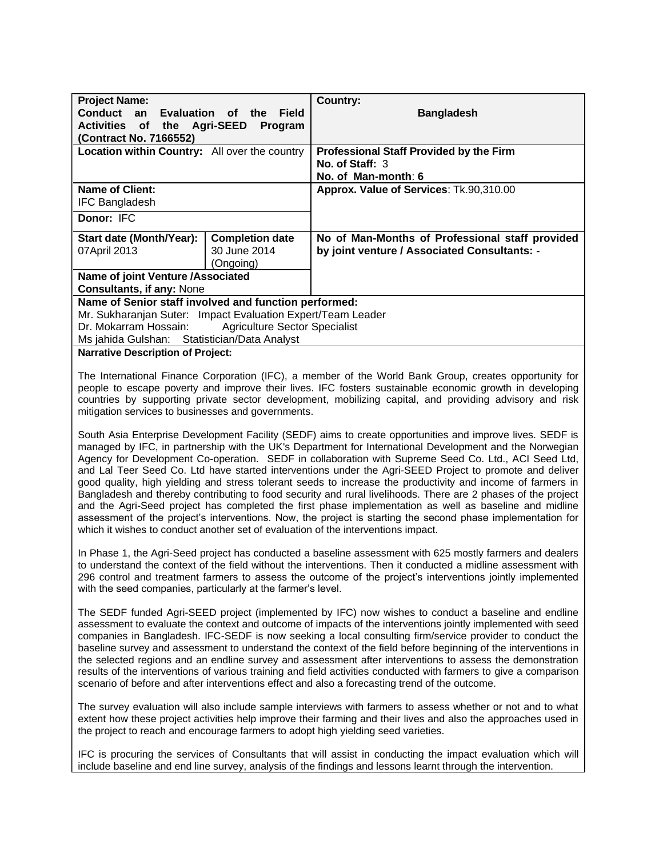| <b>Project Name:</b>                                                                                                                                                                                                                                                                                                                                                                                                                                                                                                                                                                                                                                                                                                                                                                                                                                                                                                                                                                  |                                      | <b>Country:</b>                                                                                                                                                                                                                                                                                                    |  |
|---------------------------------------------------------------------------------------------------------------------------------------------------------------------------------------------------------------------------------------------------------------------------------------------------------------------------------------------------------------------------------------------------------------------------------------------------------------------------------------------------------------------------------------------------------------------------------------------------------------------------------------------------------------------------------------------------------------------------------------------------------------------------------------------------------------------------------------------------------------------------------------------------------------------------------------------------------------------------------------|--------------------------------------|--------------------------------------------------------------------------------------------------------------------------------------------------------------------------------------------------------------------------------------------------------------------------------------------------------------------|--|
| <b>Conduct</b><br><b>Evaluation</b><br>an                                                                                                                                                                                                                                                                                                                                                                                                                                                                                                                                                                                                                                                                                                                                                                                                                                                                                                                                             | <b>Field</b><br><b>of</b><br>the     | <b>Bangladesh</b>                                                                                                                                                                                                                                                                                                  |  |
| of the Agri-SEED<br><b>Activities</b>                                                                                                                                                                                                                                                                                                                                                                                                                                                                                                                                                                                                                                                                                                                                                                                                                                                                                                                                                 | Program                              |                                                                                                                                                                                                                                                                                                                    |  |
| (Contract No. 7166552)<br>Location within Country: All over the country                                                                                                                                                                                                                                                                                                                                                                                                                                                                                                                                                                                                                                                                                                                                                                                                                                                                                                               |                                      | <b>Professional Staff Provided by the Firm</b>                                                                                                                                                                                                                                                                     |  |
|                                                                                                                                                                                                                                                                                                                                                                                                                                                                                                                                                                                                                                                                                                                                                                                                                                                                                                                                                                                       |                                      | No. of Staff: 3                                                                                                                                                                                                                                                                                                    |  |
|                                                                                                                                                                                                                                                                                                                                                                                                                                                                                                                                                                                                                                                                                                                                                                                                                                                                                                                                                                                       |                                      | No. of Man-month: 6                                                                                                                                                                                                                                                                                                |  |
| <b>Name of Client:</b>                                                                                                                                                                                                                                                                                                                                                                                                                                                                                                                                                                                                                                                                                                                                                                                                                                                                                                                                                                |                                      | Approx. Value of Services: Tk.90,310.00                                                                                                                                                                                                                                                                            |  |
| <b>IFC Bangladesh</b>                                                                                                                                                                                                                                                                                                                                                                                                                                                                                                                                                                                                                                                                                                                                                                                                                                                                                                                                                                 |                                      |                                                                                                                                                                                                                                                                                                                    |  |
| Donor: IFC                                                                                                                                                                                                                                                                                                                                                                                                                                                                                                                                                                                                                                                                                                                                                                                                                                                                                                                                                                            |                                      |                                                                                                                                                                                                                                                                                                                    |  |
| Start date (Month/Year):                                                                                                                                                                                                                                                                                                                                                                                                                                                                                                                                                                                                                                                                                                                                                                                                                                                                                                                                                              | <b>Completion date</b>               | No of Man-Months of Professional staff provided                                                                                                                                                                                                                                                                    |  |
| 07April 2013                                                                                                                                                                                                                                                                                                                                                                                                                                                                                                                                                                                                                                                                                                                                                                                                                                                                                                                                                                          | 30 June 2014                         | by joint venture / Associated Consultants: -                                                                                                                                                                                                                                                                       |  |
|                                                                                                                                                                                                                                                                                                                                                                                                                                                                                                                                                                                                                                                                                                                                                                                                                                                                                                                                                                                       | (Ongoing)                            |                                                                                                                                                                                                                                                                                                                    |  |
| Name of joint Venture /Associated<br><b>Consultants, if any: None</b>                                                                                                                                                                                                                                                                                                                                                                                                                                                                                                                                                                                                                                                                                                                                                                                                                                                                                                                 |                                      |                                                                                                                                                                                                                                                                                                                    |  |
| Name of Senior staff involved and function performed:                                                                                                                                                                                                                                                                                                                                                                                                                                                                                                                                                                                                                                                                                                                                                                                                                                                                                                                                 |                                      |                                                                                                                                                                                                                                                                                                                    |  |
| Mr. Sukharanjan Suter: Impact Evaluation Expert/Team Leader                                                                                                                                                                                                                                                                                                                                                                                                                                                                                                                                                                                                                                                                                                                                                                                                                                                                                                                           |                                      |                                                                                                                                                                                                                                                                                                                    |  |
| Dr. Mokarram Hossain:                                                                                                                                                                                                                                                                                                                                                                                                                                                                                                                                                                                                                                                                                                                                                                                                                                                                                                                                                                 | <b>Agriculture Sector Specialist</b> |                                                                                                                                                                                                                                                                                                                    |  |
| Ms jahida Gulshan: Statistician/Data Analyst                                                                                                                                                                                                                                                                                                                                                                                                                                                                                                                                                                                                                                                                                                                                                                                                                                                                                                                                          |                                      |                                                                                                                                                                                                                                                                                                                    |  |
| <b>Narrative Description of Project:</b>                                                                                                                                                                                                                                                                                                                                                                                                                                                                                                                                                                                                                                                                                                                                                                                                                                                                                                                                              |                                      |                                                                                                                                                                                                                                                                                                                    |  |
| The International Finance Corporation (IFC), a member of the World Bank Group, creates opportunity for<br>people to escape poverty and improve their lives. IFC fosters sustainable economic growth in developing<br>countries by supporting private sector development, mobilizing capital, and providing advisory and risk<br>mitigation services to businesses and governments.                                                                                                                                                                                                                                                                                                                                                                                                                                                                                                                                                                                                    |                                      |                                                                                                                                                                                                                                                                                                                    |  |
| South Asia Enterprise Development Facility (SEDF) aims to create opportunities and improve lives. SEDF is<br>managed by IFC, in partnership with the UK's Department for International Development and the Norwegian<br>Agency for Development Co-operation. SEDF in collaboration with Supreme Seed Co. Ltd., ACI Seed Ltd,<br>and Lal Teer Seed Co. Ltd have started interventions under the Agri-SEED Project to promote and deliver<br>good quality, high yielding and stress tolerant seeds to increase the productivity and income of farmers in<br>Bangladesh and thereby contributing to food security and rural livelihoods. There are 2 phases of the project<br>and the Agri-Seed project has completed the first phase implementation as well as baseline and midline<br>assessment of the project's interventions. Now, the project is starting the second phase implementation for<br>which it wishes to conduct another set of evaluation of the interventions impact. |                                      |                                                                                                                                                                                                                                                                                                                    |  |
| In Phase 1, the Agri-Seed project has conducted a baseline assessment with 625 mostly farmers and dealers<br>to understand the context of the field without the interventions. Then it conducted a midline assessment with<br>296 control and treatment farmers to assess the outcome of the project's interventions jointly implemented<br>with the seed companies, particularly at the farmer's level.                                                                                                                                                                                                                                                                                                                                                                                                                                                                                                                                                                              |                                      |                                                                                                                                                                                                                                                                                                                    |  |
| The SEDF funded Agri-SEED project (implemented by IFC) now wishes to conduct a baseline and endline<br>assessment to evaluate the context and outcome of impacts of the interventions jointly implemented with seed<br>companies in Bangladesh. IFC-SEDF is now seeking a local consulting firm/service provider to conduct the<br>baseline survey and assessment to understand the context of the field before beginning of the interventions in<br>the selected regions and an endline survey and assessment after interventions to assess the demonstration<br>results of the interventions of various training and field activities conducted with farmers to give a comparison<br>scenario of before and after interventions effect and also a forecasting trend of the outcome.                                                                                                                                                                                                 |                                      |                                                                                                                                                                                                                                                                                                                    |  |
|                                                                                                                                                                                                                                                                                                                                                                                                                                                                                                                                                                                                                                                                                                                                                                                                                                                                                                                                                                                       |                                      | The survey evaluation will also include sample interviews with farmers to assess whether or not and to what<br>extent how these project activities help improve their farming and their lives and also the approaches used in<br>the project to reach and encourage farmers to adopt high yielding seed varieties. |  |
|                                                                                                                                                                                                                                                                                                                                                                                                                                                                                                                                                                                                                                                                                                                                                                                                                                                                                                                                                                                       |                                      | IFC is procuring the services of Consultants that will assist in conducting the impact evaluation which will                                                                                                                                                                                                       |  |

include baseline and end line survey, analysis of the findings and lessons learnt through the intervention.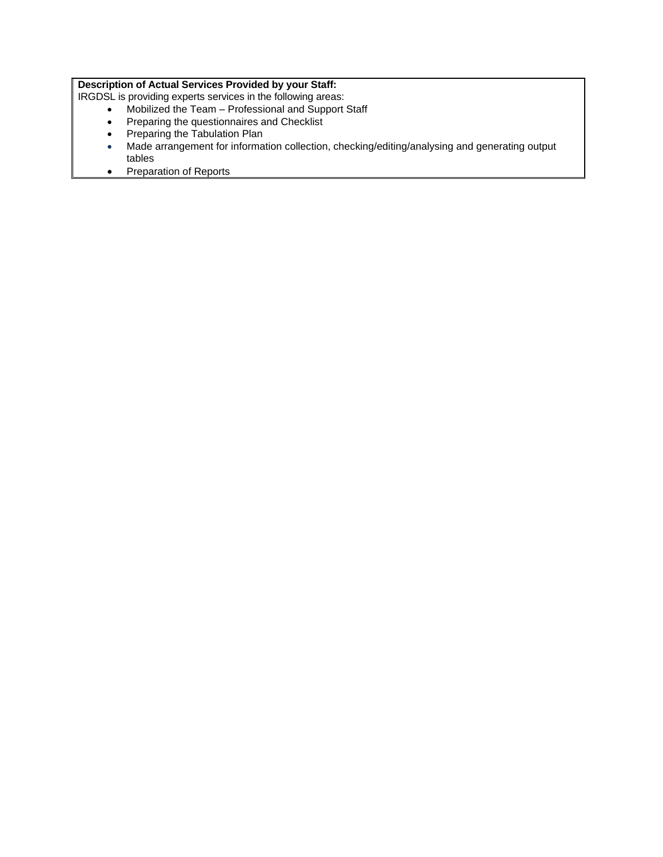## **Description of Actual Services Provided by your Staff:**

IRGDSL is providing experts services in the following areas:

- Mobilized the Team Professional and Support Staff
- Preparing the questionnaires and Checklist
- Preparing the Tabulation Plan
- Made arrangement for information collection, checking/editing/analysing and generating output tables
- Preparation of Reports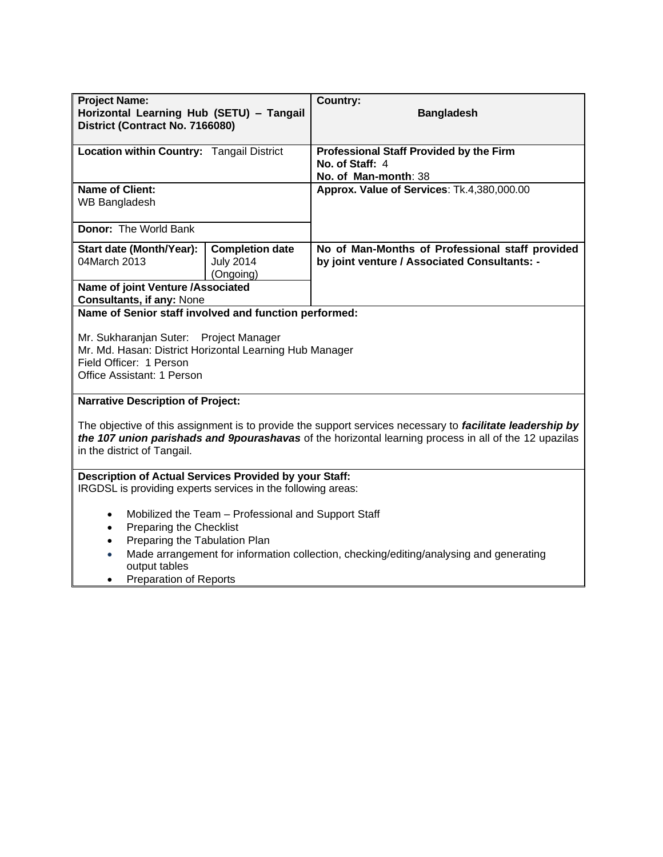| <b>Project Name:</b><br>Horizontal Learning Hub (SETU) - Tangail<br>District (Contract No. 7166080)                                                                                                                                                                                                             |                                                         | Country:<br><b>Bangladesh</b>                                                                   |
|-----------------------------------------------------------------------------------------------------------------------------------------------------------------------------------------------------------------------------------------------------------------------------------------------------------------|---------------------------------------------------------|-------------------------------------------------------------------------------------------------|
| Location within Country: Tangail District                                                                                                                                                                                                                                                                       |                                                         | Professional Staff Provided by the Firm<br>No. of Staff: 4                                      |
|                                                                                                                                                                                                                                                                                                                 |                                                         | No. of Man-month: 38                                                                            |
| <b>Name of Client:</b><br><b>WB Bangladesh</b>                                                                                                                                                                                                                                                                  |                                                         | Approx. Value of Services: Tk.4,380,000.00                                                      |
| <b>Donor: The World Bank</b>                                                                                                                                                                                                                                                                                    |                                                         |                                                                                                 |
| Start date (Month/Year):<br>04March 2013                                                                                                                                                                                                                                                                        | <b>Completion date</b><br><b>July 2014</b><br>(Ongoing) | No of Man-Months of Professional staff provided<br>by joint venture / Associated Consultants: - |
| Name of joint Venture /Associated<br><b>Consultants, if any: None</b>                                                                                                                                                                                                                                           |                                                         |                                                                                                 |
| Name of Senior staff involved and function performed:                                                                                                                                                                                                                                                           |                                                         |                                                                                                 |
| Mr. Sukharanjan Suter:<br>Mr. Md. Hasan: District Horizontal Learning Hub Manager<br>Field Officer: 1 Person<br>Office Assistant: 1 Person                                                                                                                                                                      | Project Manager                                         |                                                                                                 |
| <b>Narrative Description of Project:</b>                                                                                                                                                                                                                                                                        |                                                         |                                                                                                 |
| The objective of this assignment is to provide the support services necessary to facilitate leadership by<br>the 107 union parishads and 9pourashavas of the horizontal learning process in all of the 12 upazilas<br>in the district of Tangail.                                                               |                                                         |                                                                                                 |
| Description of Actual Services Provided by your Staff:<br>IRGDSL is providing experts services in the following areas:                                                                                                                                                                                          |                                                         |                                                                                                 |
| Mobilized the Team - Professional and Support Staff<br>$\bullet$<br>Preparing the Checklist<br>$\bullet$<br>Preparing the Tabulation Plan<br>$\bullet$<br>Made arrangement for information collection, checking/editing/analysing and generating<br>$\bullet$<br>output tables<br><b>Preparation of Reports</b> |                                                         |                                                                                                 |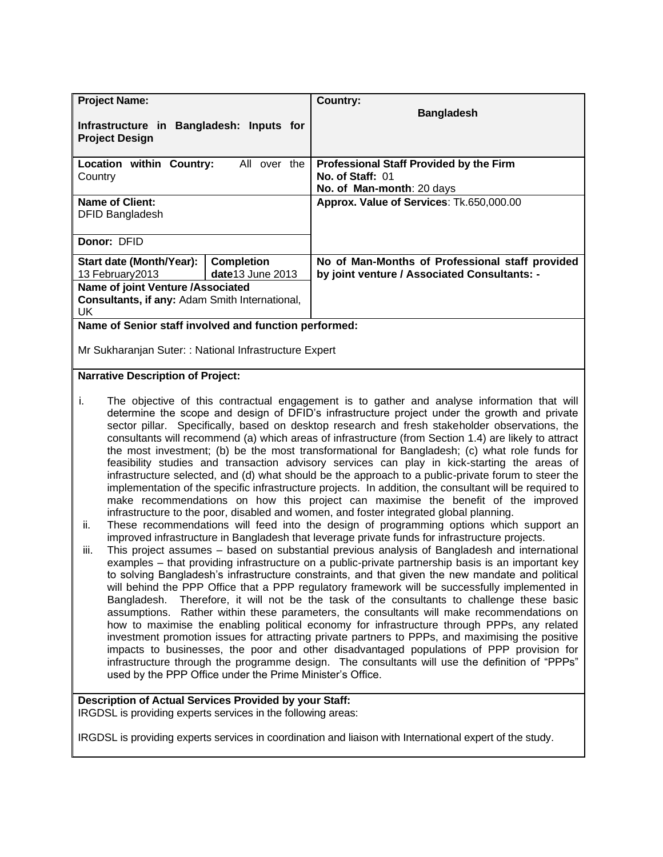| <b>Project Name:</b>                                              |                    | Country:                                        |
|-------------------------------------------------------------------|--------------------|-------------------------------------------------|
| Infrastructure in Bangladesh: Inputs for<br><b>Project Design</b> |                    | <b>Bangladesh</b>                               |
| Location within Country:                                          | All over the       | <b>Professional Staff Provided by the Firm</b>  |
| Country                                                           |                    | No. of Staff: 01                                |
|                                                                   |                    | No. of Man-month: 20 days                       |
| <b>Name of Client:</b>                                            |                    | Approx. Value of Services: Tk.650,000.00        |
| <b>DFID Bangladesh</b>                                            |                    |                                                 |
| Donor: DFID                                                       |                    |                                                 |
| Start date (Month/Year):                                          | <b>Completion</b>  | No of Man-Months of Professional staff provided |
| 13 February 2013                                                  | $date13$ June 2013 | by joint venture / Associated Consultants: -    |
| Name of joint Venture /Associated                                 |                    |                                                 |
| Consultants, if any: Adam Smith International,                    |                    |                                                 |
| UK.                                                               |                    |                                                 |
| Name of Senior staff involved and function performed:             |                    |                                                 |

Mr Sukharanjan Suter: : National Infrastructure Expert

#### **Narrative Description of Project:**

- i. The objective of this contractual engagement is to gather and analyse information that will determine the scope and design of DFID's infrastructure project under the growth and private sector pillar. Specifically, based on desktop research and fresh stakeholder observations, the consultants will recommend (a) which areas of infrastructure (from Section 1.4) are likely to attract the most investment; (b) be the most transformational for Bangladesh; (c) what role funds for feasibility studies and transaction advisory services can play in kick-starting the areas of infrastructure selected, and (d) what should be the approach to a public-private forum to steer the implementation of the specific infrastructure projects. In addition, the consultant will be required to make recommendations on how this project can maximise the benefit of the improved infrastructure to the poor, disabled and women, and foster integrated global planning.
- ii. These recommendations will feed into the design of programming options which support an improved infrastructure in Bangladesh that leverage private funds for infrastructure projects.
- iii. This project assumes based on substantial previous analysis of Bangladesh and international examples – that providing infrastructure on a public-private partnership basis is an important key to solving Bangladesh's infrastructure constraints, and that given the new mandate and political will behind the PPP Office that a PPP regulatory framework will be successfully implemented in Bangladesh. Therefore, it will not be the task of the consultants to challenge these basic assumptions. Rather within these parameters, the consultants will make recommendations on how to maximise the enabling political economy for infrastructure through PPPs, any related investment promotion issues for attracting private partners to PPPs, and maximising the positive impacts to businesses, the poor and other disadvantaged populations of PPP provision for infrastructure through the programme design. The consultants will use the definition of "PPPs" used by the PPP Office under the Prime Minister's Office.

## **Description of Actual Services Provided by your Staff:**

IRGDSL is providing experts services in the following areas:

IRGDSL is providing experts services in coordination and liaison with International expert of the study.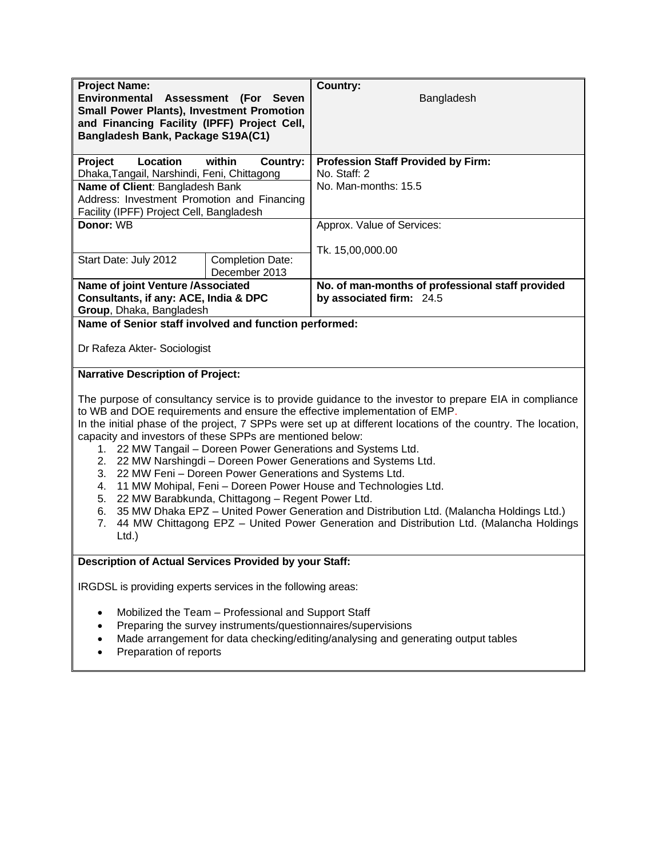| <b>Project Name:</b><br>Environmental Assessment (For Seven<br><b>Small Power Plants), Investment Promotion</b><br>and Financing Facility (IPFF) Project Cell,<br>Bangladesh Bank, Package S19A(C1)                                                                                                                                                                                                                                                                                                                                                                                                                                                                                                                                                                                                                                                                                                                   |                                                                                                                     | <b>Country:</b><br>Bangladesh                                                     |
|-----------------------------------------------------------------------------------------------------------------------------------------------------------------------------------------------------------------------------------------------------------------------------------------------------------------------------------------------------------------------------------------------------------------------------------------------------------------------------------------------------------------------------------------------------------------------------------------------------------------------------------------------------------------------------------------------------------------------------------------------------------------------------------------------------------------------------------------------------------------------------------------------------------------------|---------------------------------------------------------------------------------------------------------------------|-----------------------------------------------------------------------------------|
| Location<br>Project                                                                                                                                                                                                                                                                                                                                                                                                                                                                                                                                                                                                                                                                                                                                                                                                                                                                                                   | within<br>Country:                                                                                                  | <b>Profession Staff Provided by Firm:</b>                                         |
| Dhaka, Tangail, Narshindi, Feni, Chittagong                                                                                                                                                                                                                                                                                                                                                                                                                                                                                                                                                                                                                                                                                                                                                                                                                                                                           |                                                                                                                     | No. Staff: 2                                                                      |
| Name of Client: Bangladesh Bank                                                                                                                                                                                                                                                                                                                                                                                                                                                                                                                                                                                                                                                                                                                                                                                                                                                                                       |                                                                                                                     | No. Man-months: 15.5                                                              |
| Address: Investment Promotion and Financing                                                                                                                                                                                                                                                                                                                                                                                                                                                                                                                                                                                                                                                                                                                                                                                                                                                                           |                                                                                                                     |                                                                                   |
| Facility (IPFF) Project Cell, Bangladesh                                                                                                                                                                                                                                                                                                                                                                                                                                                                                                                                                                                                                                                                                                                                                                                                                                                                              |                                                                                                                     |                                                                                   |
| Donor: WB                                                                                                                                                                                                                                                                                                                                                                                                                                                                                                                                                                                                                                                                                                                                                                                                                                                                                                             |                                                                                                                     | Approx. Value of Services:                                                        |
|                                                                                                                                                                                                                                                                                                                                                                                                                                                                                                                                                                                                                                                                                                                                                                                                                                                                                                                       |                                                                                                                     |                                                                                   |
| Start Date: July 2012                                                                                                                                                                                                                                                                                                                                                                                                                                                                                                                                                                                                                                                                                                                                                                                                                                                                                                 | <b>Completion Date:</b>                                                                                             | Tk. 15,00,000.00                                                                  |
|                                                                                                                                                                                                                                                                                                                                                                                                                                                                                                                                                                                                                                                                                                                                                                                                                                                                                                                       | December 2013                                                                                                       |                                                                                   |
| Name of joint Venture /Associated<br>Consultants, if any: ACE, India & DPC<br>Group, Dhaka, Bangladesh                                                                                                                                                                                                                                                                                                                                                                                                                                                                                                                                                                                                                                                                                                                                                                                                                |                                                                                                                     | No. of man-months of professional staff provided<br>by associated firm: 24.5      |
| Name of Senior staff involved and function performed:                                                                                                                                                                                                                                                                                                                                                                                                                                                                                                                                                                                                                                                                                                                                                                                                                                                                 |                                                                                                                     |                                                                                   |
| Dr Rafeza Akter- Sociologist                                                                                                                                                                                                                                                                                                                                                                                                                                                                                                                                                                                                                                                                                                                                                                                                                                                                                          |                                                                                                                     |                                                                                   |
| <b>Narrative Description of Project:</b>                                                                                                                                                                                                                                                                                                                                                                                                                                                                                                                                                                                                                                                                                                                                                                                                                                                                              |                                                                                                                     |                                                                                   |
| The purpose of consultancy service is to provide guidance to the investor to prepare EIA in compliance<br>to WB and DOE requirements and ensure the effective implementation of EMP.<br>In the initial phase of the project, 7 SPPs were set up at different locations of the country. The location,<br>capacity and investors of these SPPs are mentioned below:<br>1. 22 MW Tangail – Doreen Power Generations and Systems Ltd.<br>2. 22 MW Narshingdi - Doreen Power Generations and Systems Ltd.<br>3.<br>22 MW Feni - Doreen Power Generations and Systems Ltd.<br>11 MW Mohipal, Feni - Doreen Power House and Technologies Ltd.<br>4.<br>22 MW Barabkunda, Chittagong - Regent Power Ltd.<br>5.<br>35 MW Dhaka EPZ - United Power Generation and Distribution Ltd. (Malancha Holdings Ltd.)<br>6.<br>7.<br>44 MW Chittagong EPZ - United Power Generation and Distribution Ltd. (Malancha Holdings<br>$Ltd.$ ) |                                                                                                                     |                                                                                   |
| Description of Actual Services Provided by your Staff:                                                                                                                                                                                                                                                                                                                                                                                                                                                                                                                                                                                                                                                                                                                                                                                                                                                                |                                                                                                                     |                                                                                   |
| IRGDSL is providing experts services in the following areas:                                                                                                                                                                                                                                                                                                                                                                                                                                                                                                                                                                                                                                                                                                                                                                                                                                                          |                                                                                                                     |                                                                                   |
|                                                                                                                                                                                                                                                                                                                                                                                                                                                                                                                                                                                                                                                                                                                                                                                                                                                                                                                       | Mobilized the Team - Professional and Support Staff<br>Preparing the survey instruments/questionnaires/supervisions | Made arrangement for data checking/editing/analysing and generating output tables |

• Preparation of reports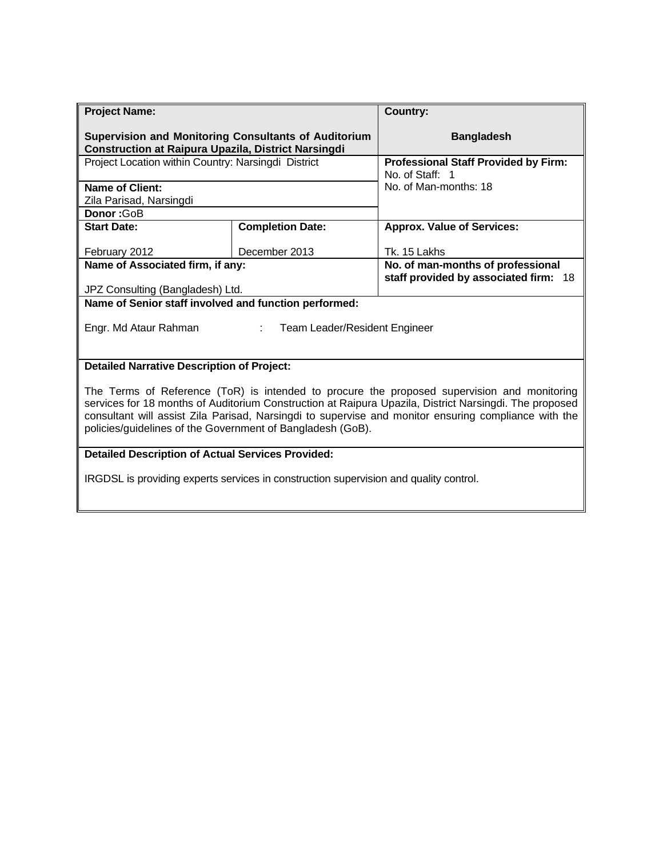| <b>Project Name:</b>                                                                                                                                                                                                                                                                                                                                                        |                         | <b>Country:</b>                                                |  |  |
|-----------------------------------------------------------------------------------------------------------------------------------------------------------------------------------------------------------------------------------------------------------------------------------------------------------------------------------------------------------------------------|-------------------------|----------------------------------------------------------------|--|--|
| <b>Supervision and Monitoring Consultants of Auditorium</b><br><b>Construction at Raipura Upazila, District Narsingdi</b>                                                                                                                                                                                                                                                   |                         | <b>Bangladesh</b>                                              |  |  |
| Project Location within Country: Narsingdi District                                                                                                                                                                                                                                                                                                                         |                         | <b>Professional Staff Provided by Firm:</b><br>No. of Staff: 1 |  |  |
| Name of Client:                                                                                                                                                                                                                                                                                                                                                             |                         | No. of Man-months: 18                                          |  |  |
| Zila Parisad, Narsingdi                                                                                                                                                                                                                                                                                                                                                     |                         |                                                                |  |  |
| Donor: GoB                                                                                                                                                                                                                                                                                                                                                                  |                         |                                                                |  |  |
| <b>Start Date:</b>                                                                                                                                                                                                                                                                                                                                                          | <b>Completion Date:</b> | <b>Approx. Value of Services:</b>                              |  |  |
| February 2012                                                                                                                                                                                                                                                                                                                                                               | December 2013           | Tk. 15 Lakhs                                                   |  |  |
| Name of Associated firm, if any:                                                                                                                                                                                                                                                                                                                                            |                         | No. of man-months of professional                              |  |  |
| JPZ Consulting (Bangladesh) Ltd.                                                                                                                                                                                                                                                                                                                                            |                         | staff provided by associated firm: 18                          |  |  |
| Name of Senior staff involved and function performed:                                                                                                                                                                                                                                                                                                                       |                         |                                                                |  |  |
|                                                                                                                                                                                                                                                                                                                                                                             |                         |                                                                |  |  |
| Engr. Md Ataur Rahman<br>Team Leader/Resident Engineer                                                                                                                                                                                                                                                                                                                      |                         |                                                                |  |  |
|                                                                                                                                                                                                                                                                                                                                                                             |                         |                                                                |  |  |
| <b>Detailed Narrative Description of Project:</b>                                                                                                                                                                                                                                                                                                                           |                         |                                                                |  |  |
| The Terms of Reference (ToR) is intended to procure the proposed supervision and monitoring<br>services for 18 months of Auditorium Construction at Raipura Upazila, District Narsingdi. The proposed<br>consultant will assist Zila Parisad, Narsingdi to supervise and monitor ensuring compliance with the<br>policies/guidelines of the Government of Bangladesh (GoB). |                         |                                                                |  |  |
| <b>Detailed Description of Actual Services Provided:</b>                                                                                                                                                                                                                                                                                                                    |                         |                                                                |  |  |
| IRGDSL is providing experts services in construction supervision and quality control.                                                                                                                                                                                                                                                                                       |                         |                                                                |  |  |

Ш